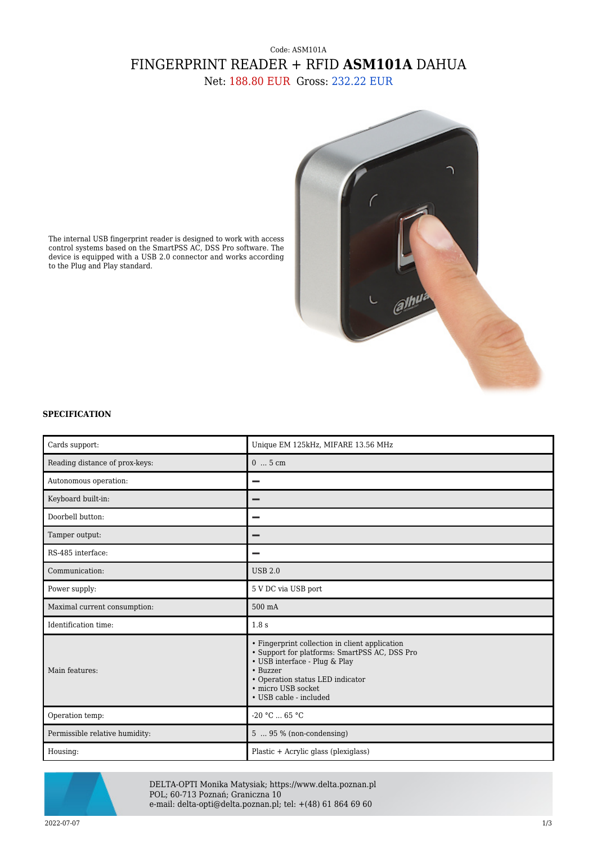## Code: ASM101A FINGERPRINT READER + RFID **ASM101A** DAHUA Net: 188.80 EUR Gross: 232.22 EUR



The internal USB fingerprint reader is designed to work with access control systems based on the SmartPSS AC, DSS Pro software. The device is equipped with a USB 2.0 connector and works according to the Plug and Play standard.

## **SPECIFICATION**

| Cards support:                 | Unique EM 125kHz, MIFARE 13.56 MHz                                                                                                                                                                                                |
|--------------------------------|-----------------------------------------------------------------------------------------------------------------------------------------------------------------------------------------------------------------------------------|
| Reading distance of prox-keys: | $05$ cm                                                                                                                                                                                                                           |
| Autonomous operation:          |                                                                                                                                                                                                                                   |
| Keyboard built-in:             |                                                                                                                                                                                                                                   |
| Doorbell button:               |                                                                                                                                                                                                                                   |
| Tamper output:                 |                                                                                                                                                                                                                                   |
| RS-485 interface:              |                                                                                                                                                                                                                                   |
| Communication:                 | <b>USB 2.0</b>                                                                                                                                                                                                                    |
| Power supply:                  | 5 V DC via USB port                                                                                                                                                                                                               |
| Maximal current consumption:   | 500 mA                                                                                                                                                                                                                            |
| Identification time:           | 1.8 s                                                                                                                                                                                                                             |
| Main features:                 | • Fingerprint collection in client application<br>· Support for platforms: SmartPSS AC, DSS Pro<br>• USB interface - Plug & Play<br>• Buzzer<br>• Operation status LED indicator<br>· micro USB socket.<br>• USB cable - included |
| Operation temp:                | $-20 °C  65 °C$                                                                                                                                                                                                                   |
| Permissible relative humidity: | $5 \dots 95 \%$ (non-condensing)                                                                                                                                                                                                  |
| Housing:                       | Plastic + Acrylic glass (plexiglass)                                                                                                                                                                                              |



DELTA-OPTI Monika Matysiak; https://www.delta.poznan.pl POL; 60-713 Poznań; Graniczna 10 e-mail: delta-opti@delta.poznan.pl; tel: +(48) 61 864 69 60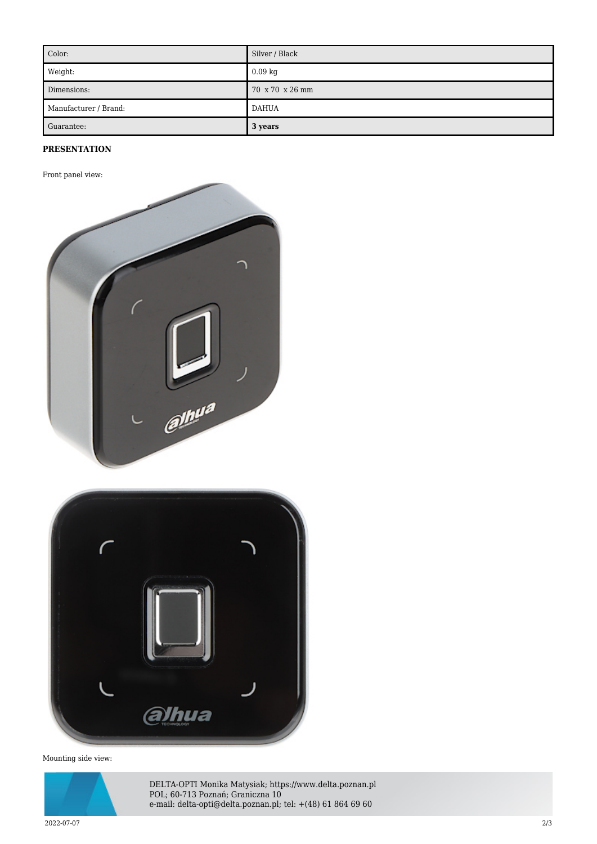| Color:                | Silver / Black  |
|-----------------------|-----------------|
| Weight:               | $0.09$ kg       |
| Dimensions:           | 70 x 70 x 26 mm |
| Manufacturer / Brand: | <b>DAHUA</b>    |
| Guarantee:            | 3 years         |

## **PRESENTATION**

Front panel view:





Mounting side view:



DELTA-OPTI Monika Matysiak; https://www.delta.poznan.pl POL; 60-713 Poznań; Graniczna 10 e-mail: delta-opti@delta.poznan.pl; tel: +(48) 61 864 69 60

2022-07-07 2/3